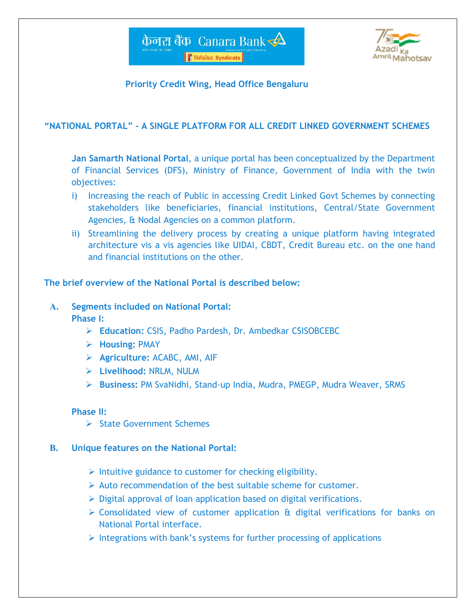

## **Priority Credit Wing, Head Office Bengaluru**

## **"NATIONAL PORTAL" – A SINGLE PLATFORM FOR ALL CREDIT LINKED GOVERNMENT SCHEMES**

**Jan Samarth National Portal**, a unique portal has been conceptualized by the Department of Financial Services (DFS), Ministry of Finance, Government of India with the twin objectives:

- i) Increasing the reach of Public in accessing Credit Linked Govt Schemes by connecting stakeholders like beneficiaries, financial institutions, Central/State Government Agencies, & Nodal Agencies on a common platform.
- ii) Streamlining the delivery process by creating a unique platform having integrated architecture vis a vis agencies like UIDAI, CBDT, Credit Bureau etc. on the one hand and financial institutions on the other.

#### **The brief overview of the National Portal is described below:**

## **A. Segments included on National Portal:**

#### **Phase I:**

- **Education:** CSIS, Padho Pardesh, Dr. Ambedkar CSISOBCEBC
- **Housing:** PMAY
- **Agriculture:** ACABC, AMI, AIF
- **Livelihood:** NRLM, NULM
- **Business:** PM SvaNidhi, Stand-up India, Mudra, PMEGP, Mudra Weaver, SRMS

### **Phase II:**

 $\triangleright$  State Government Schemes

### **B. Unique features on the National Portal:**

- $\triangleright$  Intuitive guidance to customer for checking eligibility.
- $\triangleright$  Auto recommendation of the best suitable scheme for customer.
- $\triangleright$  Digital approval of loan application based on digital verifications.
- Consolidated view of customer application & digital verifications for banks on National Portal interface.
- $\triangleright$  Integrations with bank's systems for further processing of applications